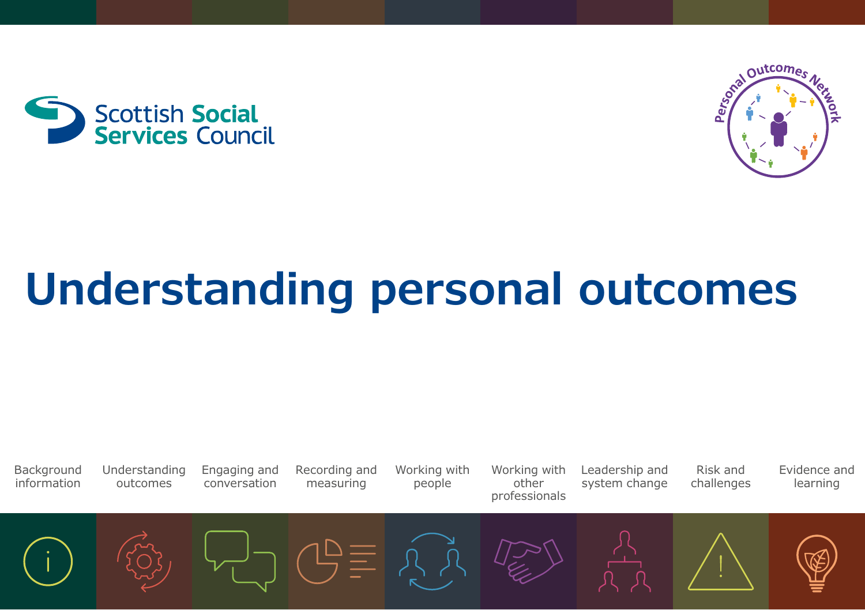



# **Understanding personal outcomes**

Background information Understanding outcomes

Engaging and conversation

Recording and measuring

Working with people

Working with other professionals

Leadership and system change

Risk and challenges Evidence and learning

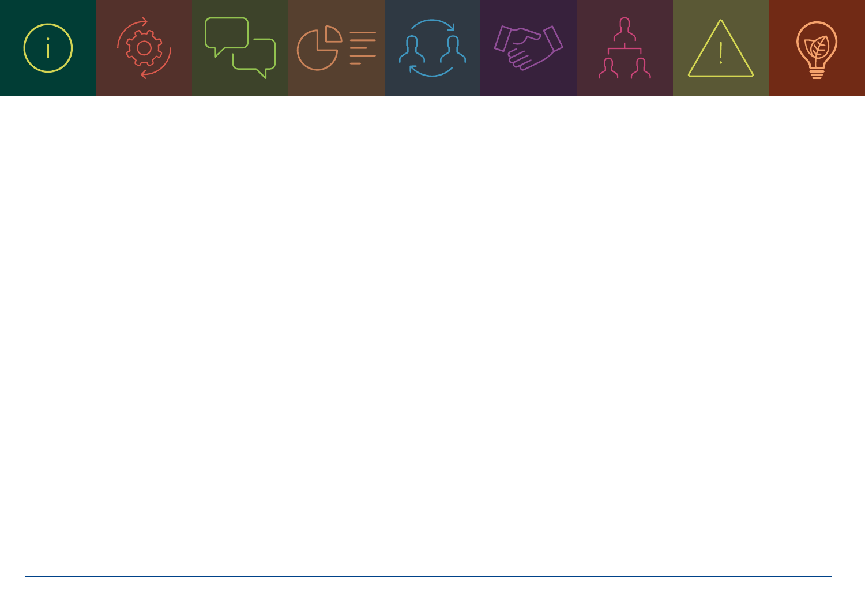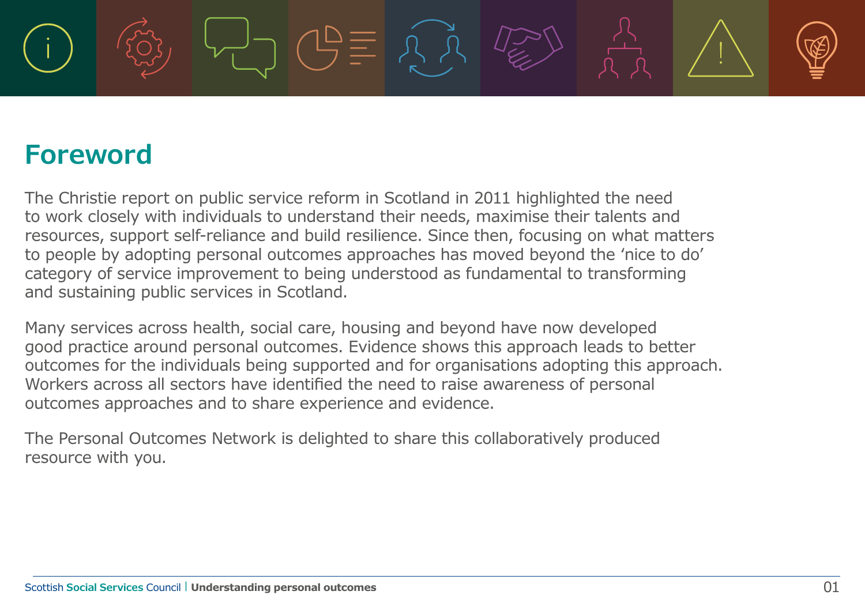

#### **Foreword**

The Christie report on public service reform in Scotland in 2011 highlighted the need to work closely with individuals to understand their needs, maximise their talents and resources, support self-reliance and build resilience. Since then, focusing on what matters to people by adopting personal outcomes approaches has moved beyond the 'nice to do' category of service improvement to being understood as fundamental to transforming and sustaining public services in Scotland.

Many services across health, social care, housing and beyond have now developed good practice around personal outcomes. Evidence shows this approach leads to better outcomes for the individuals being supported and for organisations adopting this approach. Workers across all sectors have identified the need to raise awareness of personal outcomes approaches and to share experience and evidence.

The Personal Outcomes Network is delighted to share this collaboratively produced resource with you.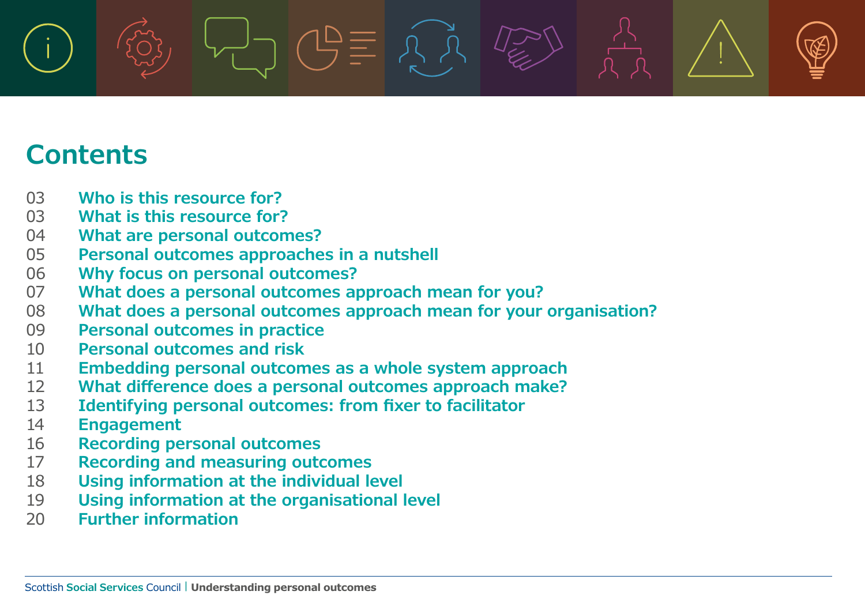#### **Contents**

- **Who is this resource for?**
- **What is this resource for?**
- **What are personal outcomes?**
- **Personal outcomes approaches in a nutshell**
- **Why focus on personal outcomes?**
- **What does a personal outcomes approach mean for you?**
- **What does a personal outcomes approach mean for your organisation?**
- **Personal outcomes in practice**
- **Personal outcomes and risk**
- **Embedding personal outcomes as a whole system approach**
- **What difference does a personal outcomes approach make?**
- **Identifying personal outcomes: from fixer to facilitator**
- **Engagement**
- **Recording personal outcomes**
- **Recording and measuring outcomes**
- **Using information at the individual level**
- **Using information at the organisational level**
- **Further information**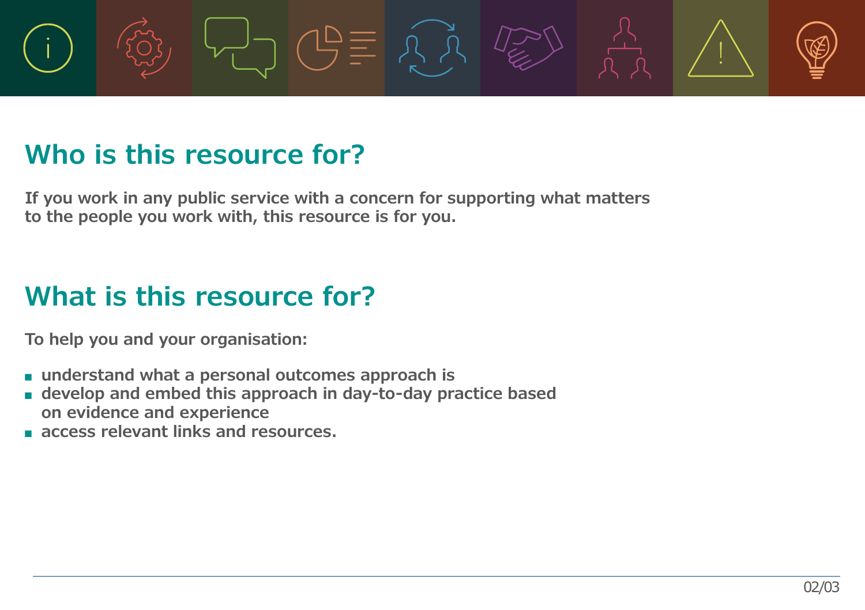

## **Who is this resource for?**

**If you work in any public service with a concern for supporting what matters to the people you work with, this resource is for you.**

#### **What is this resource for?**

**To help you and your organisation:**

- understand what a personal outcomes approach is
- **develop and embed this approach in day-to-day practice based on evidence and experience**
- **access relevant links and resources.**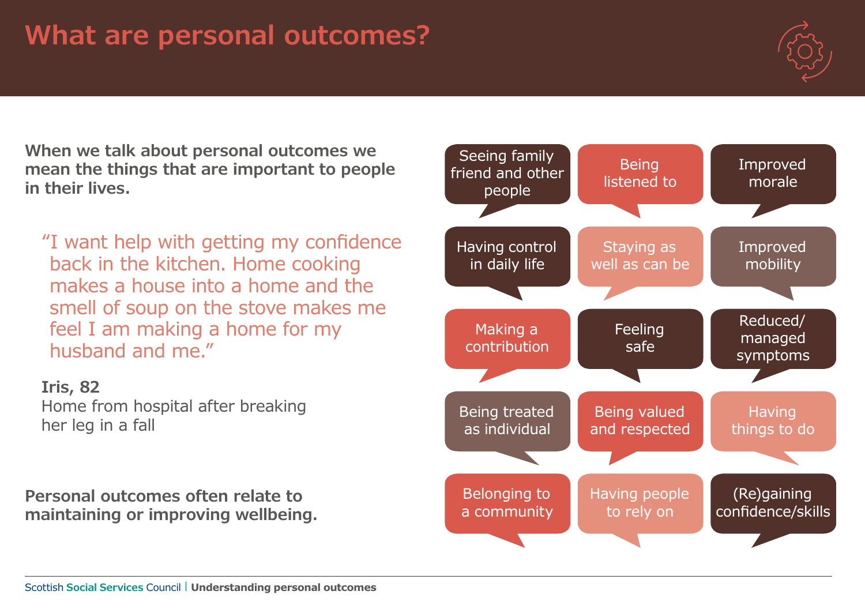# **What are personal outcomes?**



**When we talk about personal outcomes we mean the things that are important to people in their lives.**

"I want help with getting my confidence back in the kitchen. Home cooking makes a house into a home and the smell of soup on the stove makes me feel I am making a home for my husband and me."

#### **Iris, 82**

Home from hospital after breaking her leg in a fall

**Personal outcomes often relate to maintaining or improving wellbeing.**

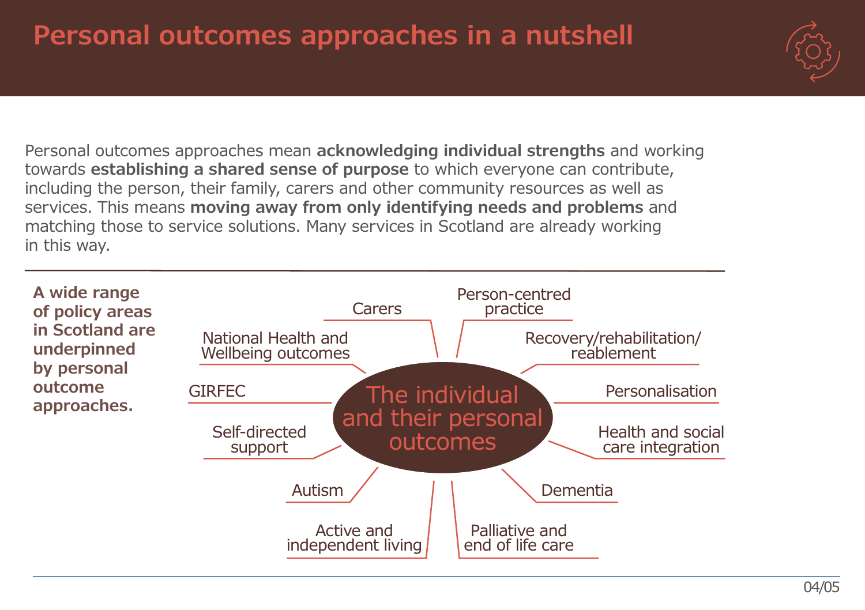# **Personal outcomes approaches in a nutshell**

Personal outcomes approaches mean **acknowledging individual strengths** and working towards **establishing a shared sense of purpose** to which everyone can contribute, including the person, their family, carers and other community resources as well as services. This means **moving away from only identifying needs and problems** and matching those to service solutions. Many services in Scotland are already working in this way.

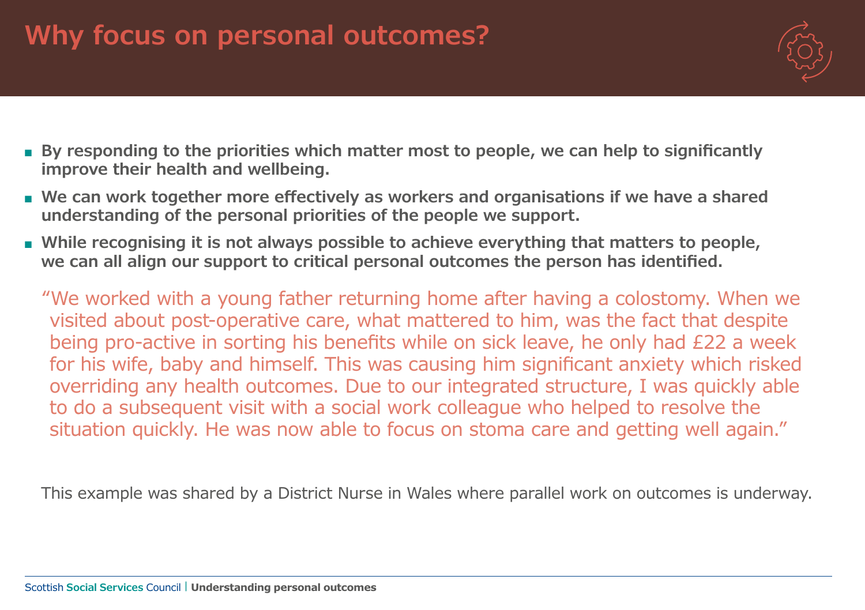## **Why focus on personal outcomes?**



- **By responding to the priorities which matter most to people, we can help to significantly improve their health and wellbeing.**
- We can work together more effectively as workers and organisations if we have a shared **understanding of the personal priorities of the people we support.**
- **While recognising it is not always possible to achieve everything that matters to people, we can all align our support to critical personal outcomes the person has identified.**

"We worked with a young father returning home after having a colostomy. When we visited about post-operative care, what mattered to him, was the fact that despite being pro-active in sorting his benefits while on sick leave, he only had £22 a week for his wife, baby and himself. This was causing him significant anxiety which risked overriding any health outcomes. Due to our integrated structure, I was quickly able to do a subsequent visit with a social work colleague who helped to resolve the situation quickly. He was now able to focus on stoma care and getting well again."

This example was shared by a District Nurse in Wales where parallel work on outcomes is underway.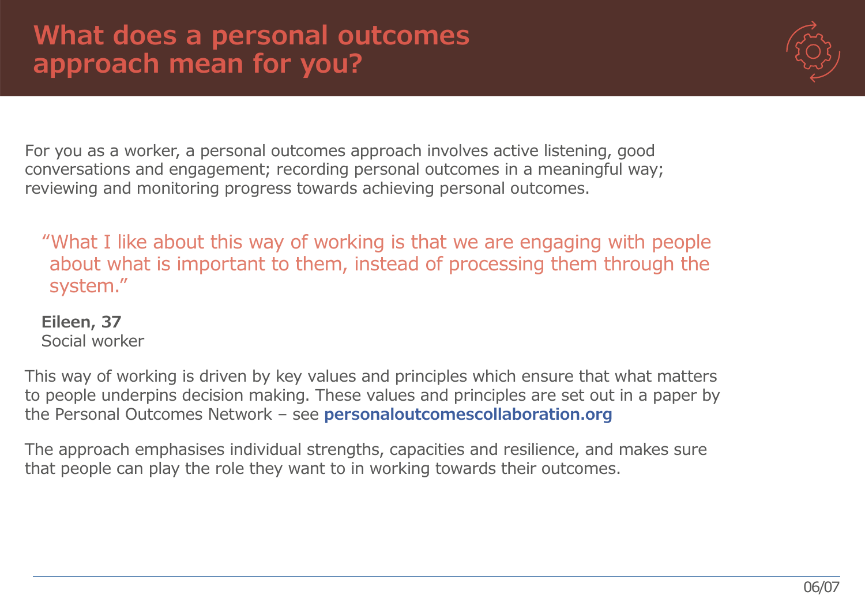

For you as a worker, a personal outcomes approach involves active listening, good conversations and engagement; recording personal outcomes in a meaningful way; reviewing and monitoring progress towards achieving personal outcomes.

"What I like about this way of working is that we are engaging with people about what is important to them, instead of processing them through the system."

**Eileen, 37** Social worker

This way of working is driven by key values and principles which ensure that what matters to people underpins decision making. These values and principles are set out in a paper by the Personal Outcomes Network – see **[personaloutcomescollaboration.org](https://personaloutcomescollaboration.org)**

The approach emphasises individual strengths, capacities and resilience, and makes sure that people can play the role they want to in working towards their outcomes.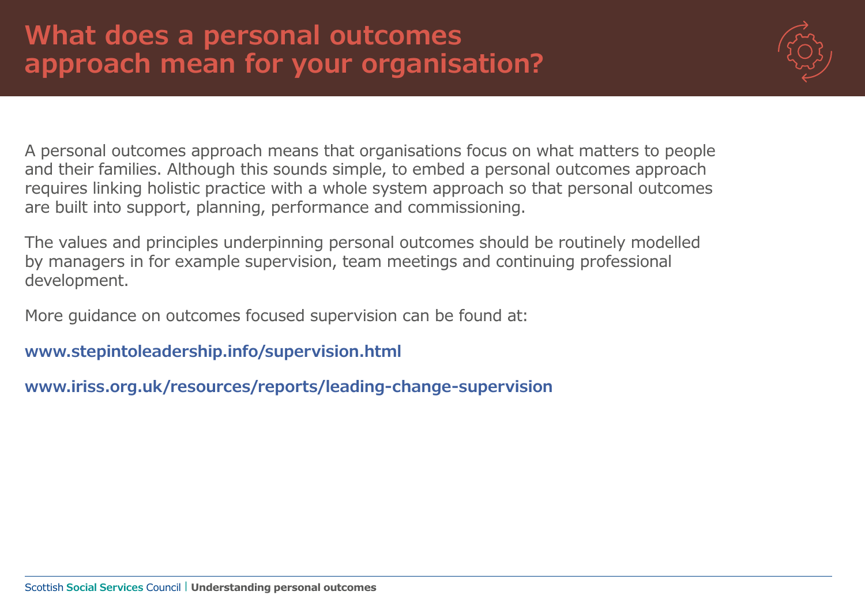

A personal outcomes approach means that organisations focus on what matters to people and their families. Although this sounds simple, to embed a personal outcomes approach requires linking holistic practice with a whole system approach so that personal outcomes are built into support, planning, performance and commissioning.

The values and principles underpinning personal outcomes should be routinely modelled by managers in for example supervision, team meetings and continuing professional development.

More guidance on outcomes focused supervision can be found at:

**www[.stepintoleadership.info/supervision.html](http://stepintoleadership.info/supervision.html)**

**[www.iriss.org.uk/resources/reports/leading-change-supervision](http://www.iriss.org.uk/resources/reports/leading-change-supervision)**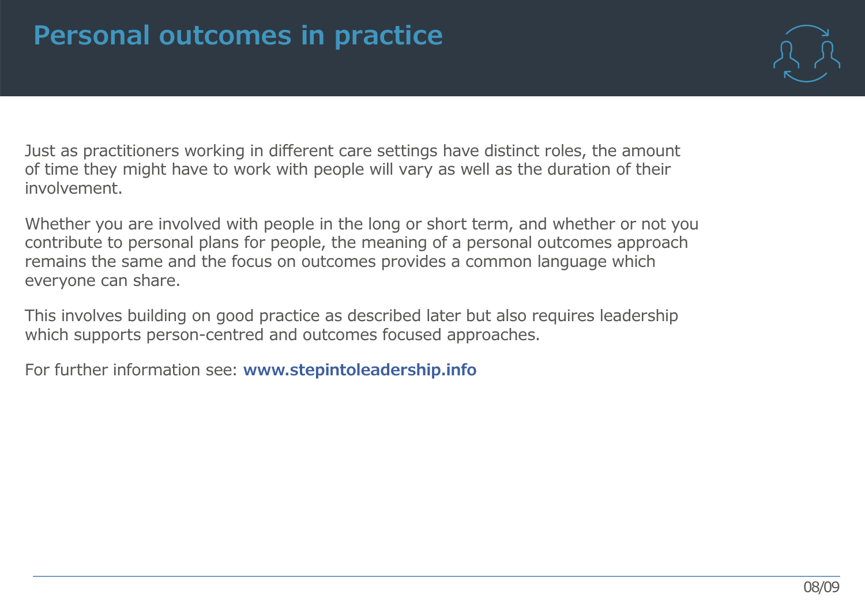

Just as practitioners working in different care settings have distinct roles, the amount of time they might have to work with people will vary as well as the duration of their involvement.

Whether you are involved with people in the long or short term, and whether or not you contribute to personal plans for people, the meaning of a personal outcomes approach remains the same and the focus on outcomes provides a common language which everyone can share.

This involves building on good practice as described later but also requires leadership which supports person-centred and outcomes focused approaches.

For further information see: **[www.stepintoleadership.info](http://www.stepintoleadership.info)**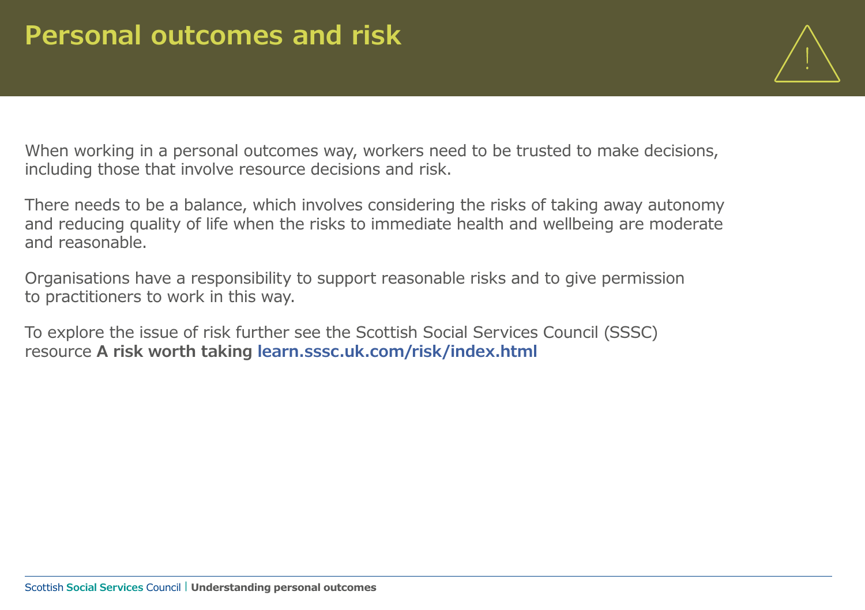When working in a personal outcomes way, workers need to be trusted to make decisions, including those that involve resource decisions and risk.

There needs to be a balance, which involves considering the risks of taking away autonomy and reducing quality of life when the risks to immediate health and wellbeing are moderate and reasonable.

Organisations have a responsibility to support reasonable risks and to give permission to practitioners to work in this way.

To explore the issue of risk further see the Scottish Social Services Council (SSSC) resource **A risk worth taking [learn.sssc.uk.com/risk/index.html](http://learn.sssc.uk.com/risk/index.html)**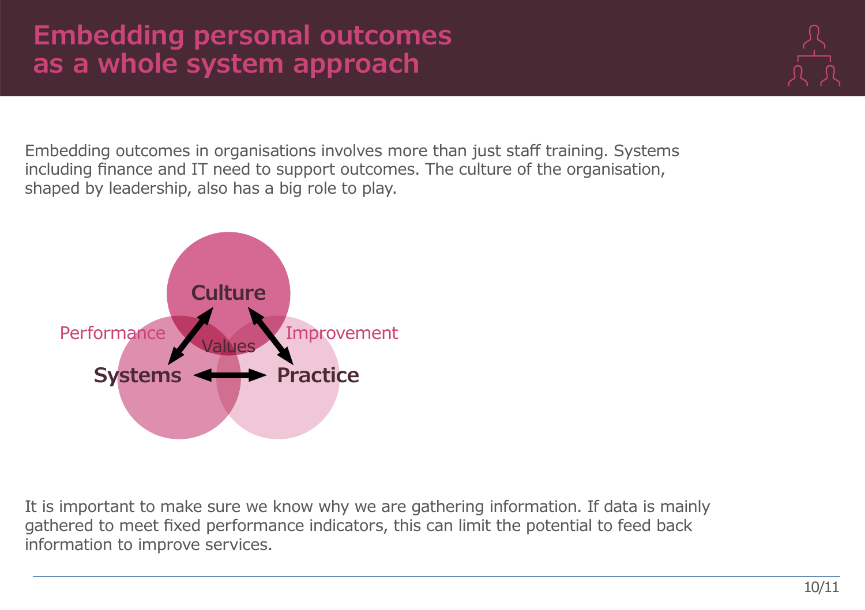

Embedding outcomes in organisations involves more than just staff training. Systems including finance and IT need to support outcomes. The culture of the organisation, shaped by leadership, also has a big role to play.



It is important to make sure we know why we are gathering information. If data is mainly gathered to meet fixed performance indicators, this can limit the potential to feed back information to improve services.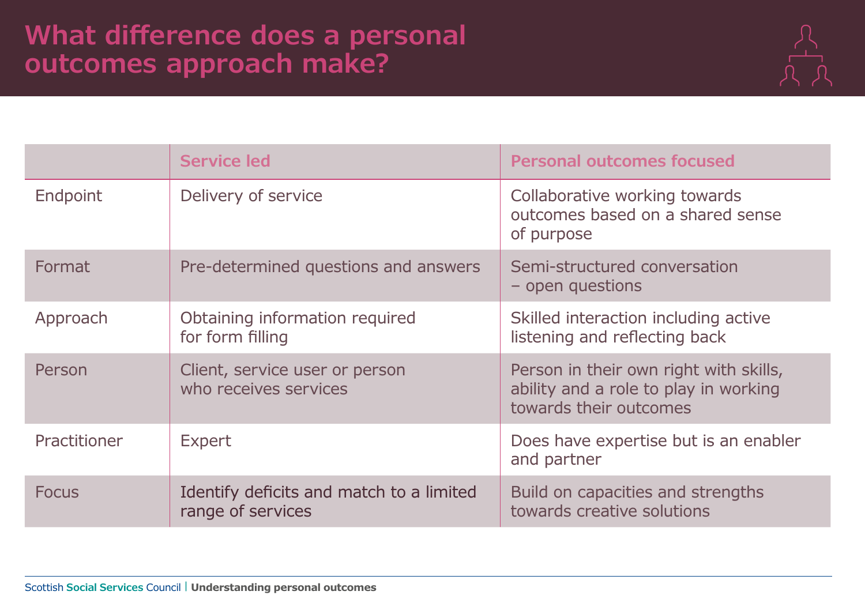

|              | <b>Service led</b>                                            | <b>Personal outcomes focused</b>                                                                          |
|--------------|---------------------------------------------------------------|-----------------------------------------------------------------------------------------------------------|
| Endpoint     | Delivery of service                                           | Collaborative working towards<br>outcomes based on a shared sense<br>of purpose                           |
| Format       | Pre-determined questions and answers                          | Semi-structured conversation<br>- open questions                                                          |
| Approach     | Obtaining information required<br>for form filling            | Skilled interaction including active<br>listening and reflecting back                                     |
| Person       | Client, service user or person<br>who receives services       | Person in their own right with skills,<br>ability and a role to play in working<br>towards their outcomes |
| Practitioner | Expert                                                        | Does have expertise but is an enabler<br>and partner                                                      |
| <b>Focus</b> | Identify deficits and match to a limited<br>range of services | Build on capacities and strengths<br>towards creative solutions                                           |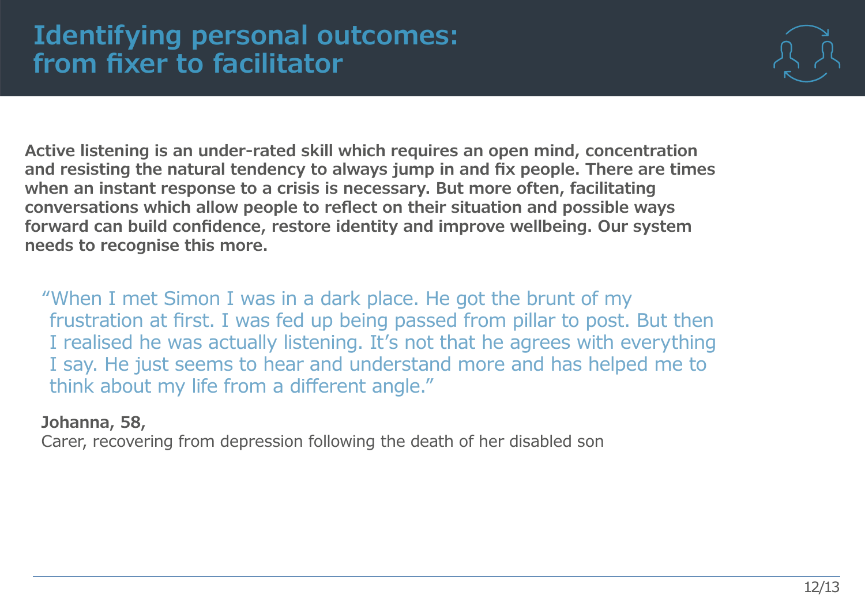

**Active listening is an under-rated skill which requires an open mind, concentration and resisting the natural tendency to always jump in and fix people. There are times when an instant response to a crisis is necessary. But more often, facilitating conversations which allow people to reflect on their situation and possible ways forward can build confidence, restore identity and improve wellbeing. Our system needs to recognise this more.** 

"When I met Simon I was in a dark place. He got the brunt of my frustration at first. I was fed up being passed from pillar to post. But then I realised he was actually listening. It's not that he agrees with everything I say. He just seems to hear and understand more and has helped me to think about my life from a different angle."

#### **Johanna, 58,**

Carer, recovering from depression following the death of her disabled son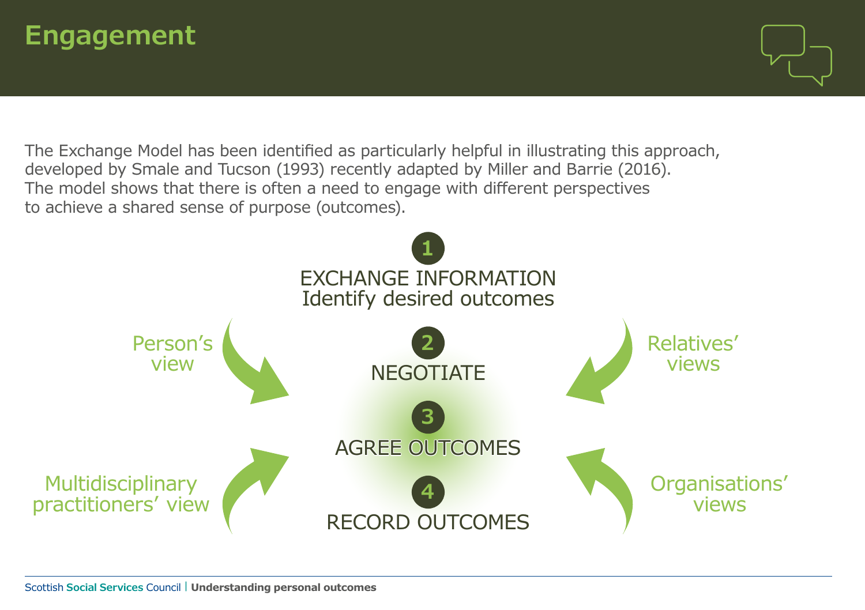#### **Engagement**

The Exchange Model has been identified as particularly helpful in illustrating this approach, developed by Smale and Tucson (1993) recently adapted by Miller and Barrie (2016). The model shows that there is often a need to engage with different perspectives to achieve a shared sense of purpose (outcomes).

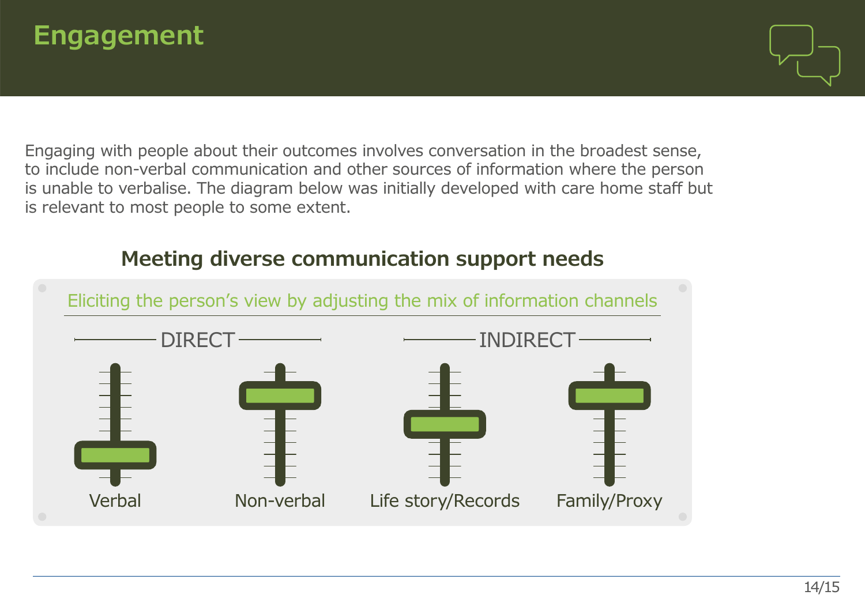#### **Engagement**

Engaging with people about their outcomes involves conversation in the broadest sense, to include non-verbal communication and other sources of information where the person is unable to verbalise. The diagram below was initially developed with care home staff but is relevant to most people to some extent.



#### **Meeting diverse communication support needs**

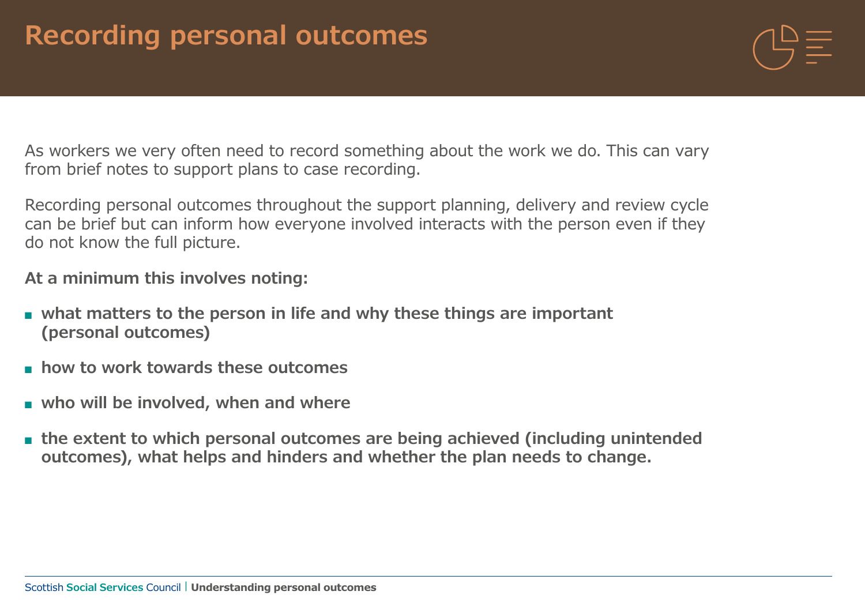As workers we very often need to record something about the work we do. This can vary from brief notes to support plans to case recording.

Recording personal outcomes throughout the support planning, delivery and review cycle can be brief but can inform how everyone involved interacts with the person even if they do not know the full picture.

**At a minimum this involves noting:**

- **what matters to the person in life and why these things are important (personal outcomes)**
- **how to work towards these outcomes**
- **who will be involved, when and where**
- **the extent to which personal outcomes are being achieved (including unintended outcomes), what helps and hinders and whether the plan needs to change.**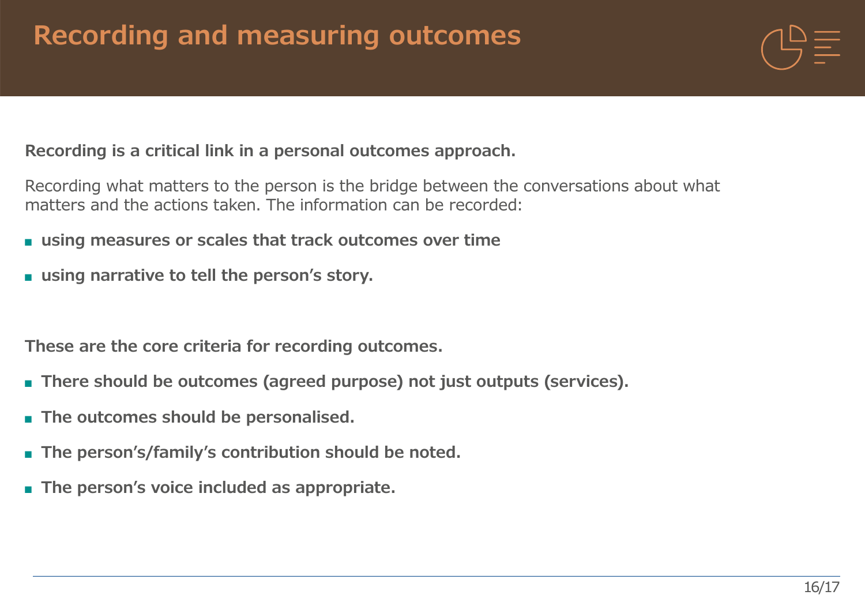

**Recording is a critical link in a personal outcomes approach.**

Recording what matters to the person is the bridge between the conversations about what matters and the actions taken. The information can be recorded:

- using measures or scales that track outcomes over time
- **using narrative to tell the person's story.**

**These are the core criteria for recording outcomes.**

- **There should be outcomes (agreed purpose) not just outputs (services).**
- The outcomes should be personalised.
- The person's/family's contribution should be noted.
- **The person's voice included as appropriate.**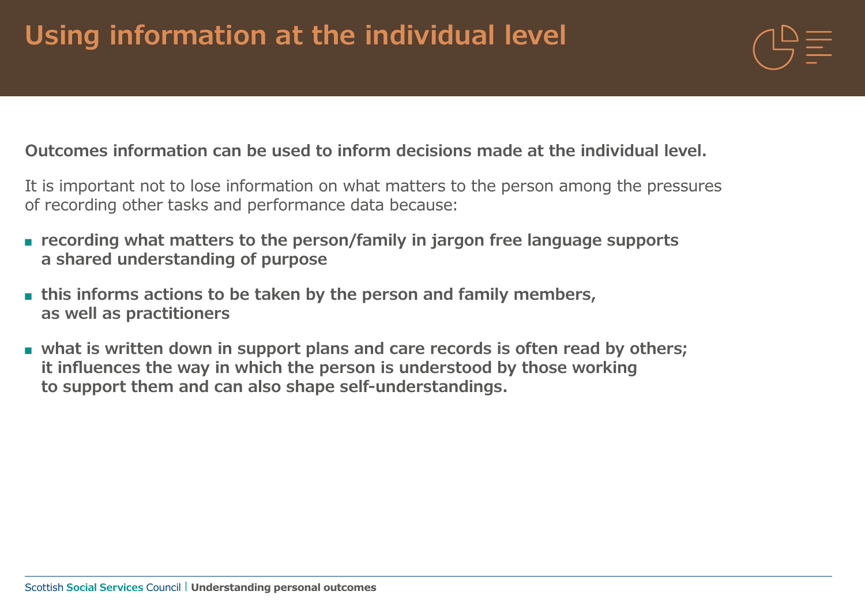#### **Outcomes information can be used to inform decisions made at the individual level.**

It is important not to lose information on what matters to the person among the pressures of recording other tasks and performance data because:

- **recording what matters to the person/family in jargon free language supports a shared understanding of purpose**
- **this informs actions to be taken by the person and family members, as well as practitioners**
- what is written down in support plans and care records is often read by others; **it influences the way in which the person is understood by those working to support them and can also shape self-understandings.**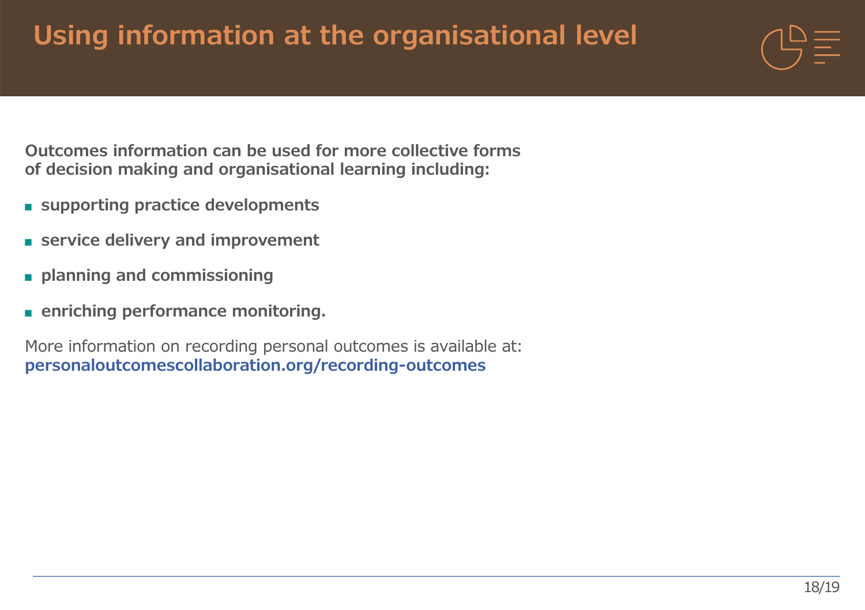# **Using information at the organisational level**

**Outcomes information can be used for more collective forms of decision making and organisational learning including:**

- **supporting practice developments**
- service delivery and improvement
- **planning and commissioning**
- **enriching performance monitoring.**

More information on recording personal outcomes is available at: **[personaloutcomescollaboration.org/recording-outcomes](http://personaloutcomescollaboration.org/recording-outcomes)**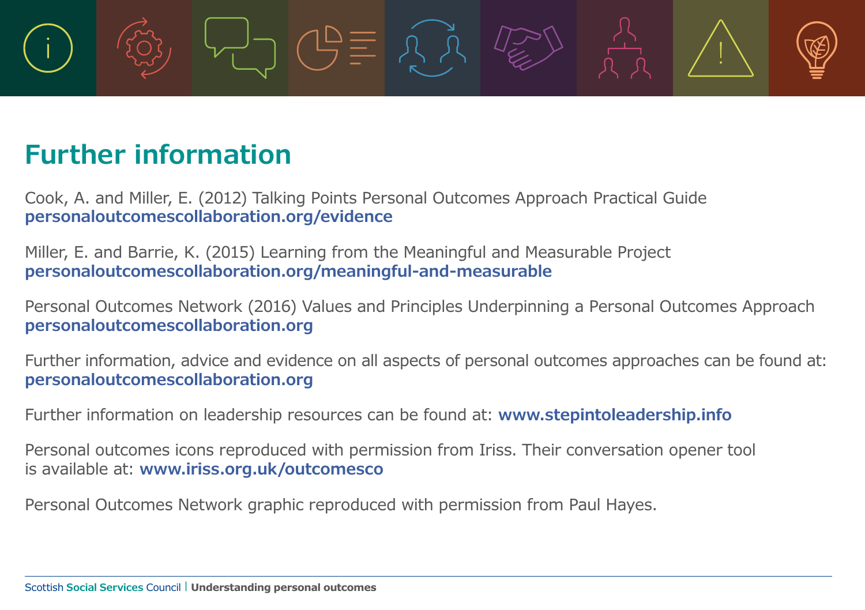

### **Further information**

Cook, A. and Miller, E. (2012) Talking Points Personal Outcomes Approach Practical Guide **[personaloutcomescollaboration.org/evidence](http://personaloutcomescollaboration.org/evidence)** 

Miller, E. and Barrie, K. (2015) Learning from the Meaningful and Measurable Project **[personaloutcomescollaboration.org/meaningful-and-measurable](http://personaloutcomescollaboration.org/meaningful-and-measurable)**

Personal Outcomes Network (2016) Values and Principles Underpinning a Personal Outcomes Approach **[personaloutcomescollaboration.org](http://personaloutcomescollaboration.org)** 

Further information, advice and evidence on all aspects of personal outcomes approaches can be found at: **[personaloutcomescollaboration.org](http://personaloutcomescollaboration.org)**

Further information on leadership resources can be found at: **[www.stepintoleadership.info](http://www.stepintoleadership.info)**

Personal outcomes icons reproduced with permission from Iriss. Their conversation opener tool is available at: **[www.iriss.org.uk/outcomesco](http://www.iriss.org.uk/outcomesco)**

Personal Outcomes Network graphic reproduced with permission from Paul Hayes.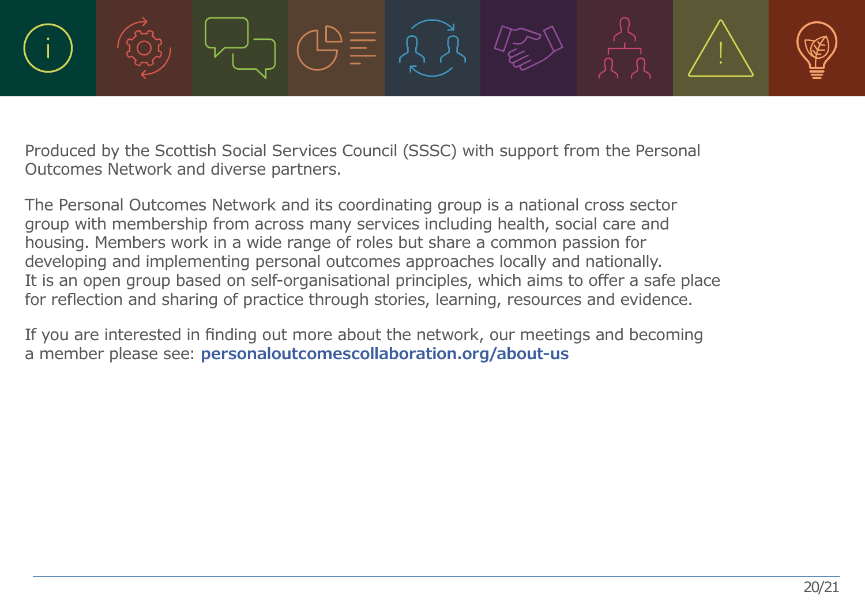

Produced by the Scottish Social Services Council (SSSC) with support from the Personal Outcomes Network and diverse partners.

The Personal Outcomes Network and its coordinating group is a national cross sector group with membership from across many services including health, social care and housing. Members work in a wide range of roles but share a common passion for developing and implementing personal outcomes approaches locally and nationally. It is an open group based on self-organisational principles, which aims to offer a safe place for reflection and sharing of practice through stories, learning, resources and evidence.

If you are interested in finding out more about the network, our meetings and becoming a member please see: **[personaloutcomescollaboration.org/about-us](http://personaloutcomescollaboration.org/about-us)**